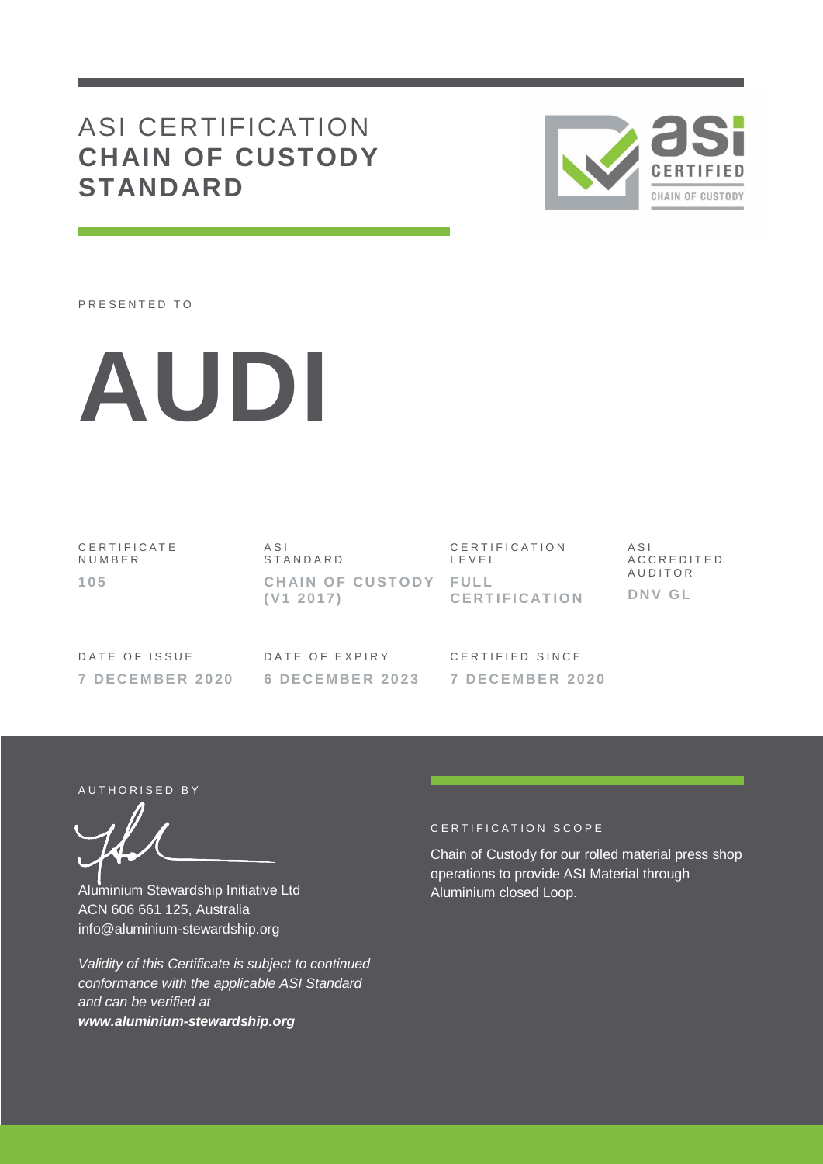# ASI CERTIFICATION **CHAIN OF CUSTODY STANDARD**



PRESENTED TO



C E R T I F I C A T E **NUMBER 105**

A S I S T A N D A R D **CHAIN OF CUSTODY FULL ( V1 20 17)**

C E R T I F I C A T I O N L E V E L **CE RT I F I CAT I O N** A S I A C C R E D I T E D **AUDITOR DNV G L**

DATE OF ISSUE **7 DE CE M BE R 20 20**

DATE OF EXPIRY **6 DE CE M BE R 20 23**

CERTIFIED SINCE **7 DE CE M BE R 20 20**

AUTHORISED BY

Aluminium Stewardship Initiative Ltd ACN 606 661 125, Australia info@aluminium-stewardship.org

*Validity of this Certificate is subject to continued conformance with the applicable ASI Standard and can be verified at www.aluminium-stewardship.org*

#### CERTIFICATION SCOPE

Chain of Custody for our rolled material press shop operations to provide ASI Material through Aluminium closed Loop.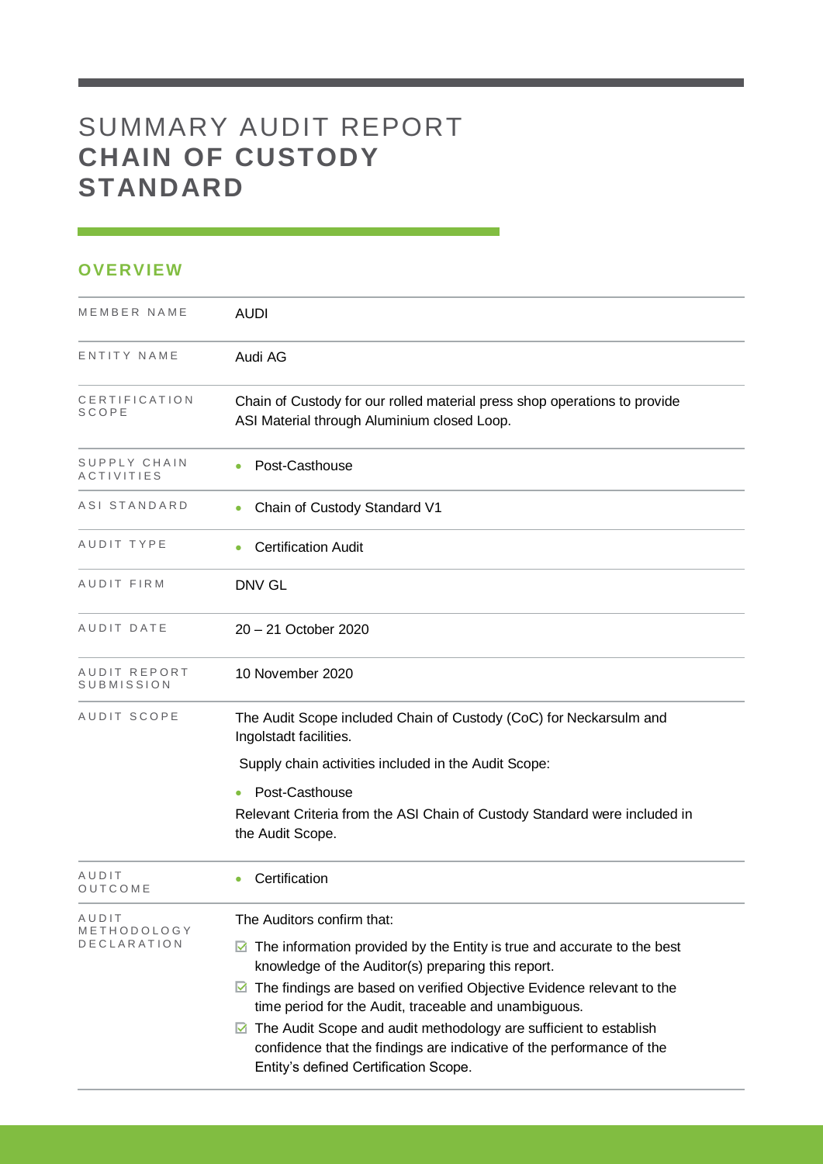# SUMMARY AUDIT REPORT **CHAIN OF CUSTODY STANDARD**

### **OVERVIEW**

| MEMBER NAME                       | <b>AUDI</b>                                                                                                                         |
|-----------------------------------|-------------------------------------------------------------------------------------------------------------------------------------|
| ENTITY NAME                       | Audi AG                                                                                                                             |
| CERTIFICATION<br>SCOPE            | Chain of Custody for our rolled material press shop operations to provide<br>ASI Material through Aluminium closed Loop.            |
| SUPPLY CHAIN<br><b>ACTIVITIES</b> | Post-Casthouse                                                                                                                      |
| ASI STANDARD                      | Chain of Custody Standard V1                                                                                                        |
| AUDIT TYPE                        | <b>Certification Audit</b>                                                                                                          |
| AUDIT FIRM                        | <b>DNV GL</b>                                                                                                                       |
| AUDIT DATE                        | 20 - 21 October 2020                                                                                                                |
| AUDIT REPORT<br>SUBMISSION        | 10 November 2020                                                                                                                    |
| AUDIT SCOPE                       | The Audit Scope included Chain of Custody (CoC) for Neckarsulm and<br>Ingolstadt facilities.                                        |
|                                   | Supply chain activities included in the Audit Scope:                                                                                |
|                                   | Post-Casthouse                                                                                                                      |
|                                   | Relevant Criteria from the ASI Chain of Custody Standard were included in<br>the Audit Scope.                                       |
| AUDIT<br>OUTCOME                  | Certification                                                                                                                       |
| AUDIT<br>METHODOLOGY              | The Auditors confirm that:                                                                                                          |
| <b>DECLARATION</b>                | The information provided by the Entity is true and accurate to the best<br>M<br>knowledge of the Auditor(s) preparing this report.  |
|                                   | The findings are based on verified Objective Evidence relevant to the<br>M<br>time period for the Audit, traceable and unambiguous. |
|                                   | The Audit Scope and audit methodology are sufficient to establish<br>M                                                              |
|                                   | confidence that the findings are indicative of the performance of the<br>Entity's defined Certification Scope.                      |

<u> 1989 - Johann Barnett, martin sa</u>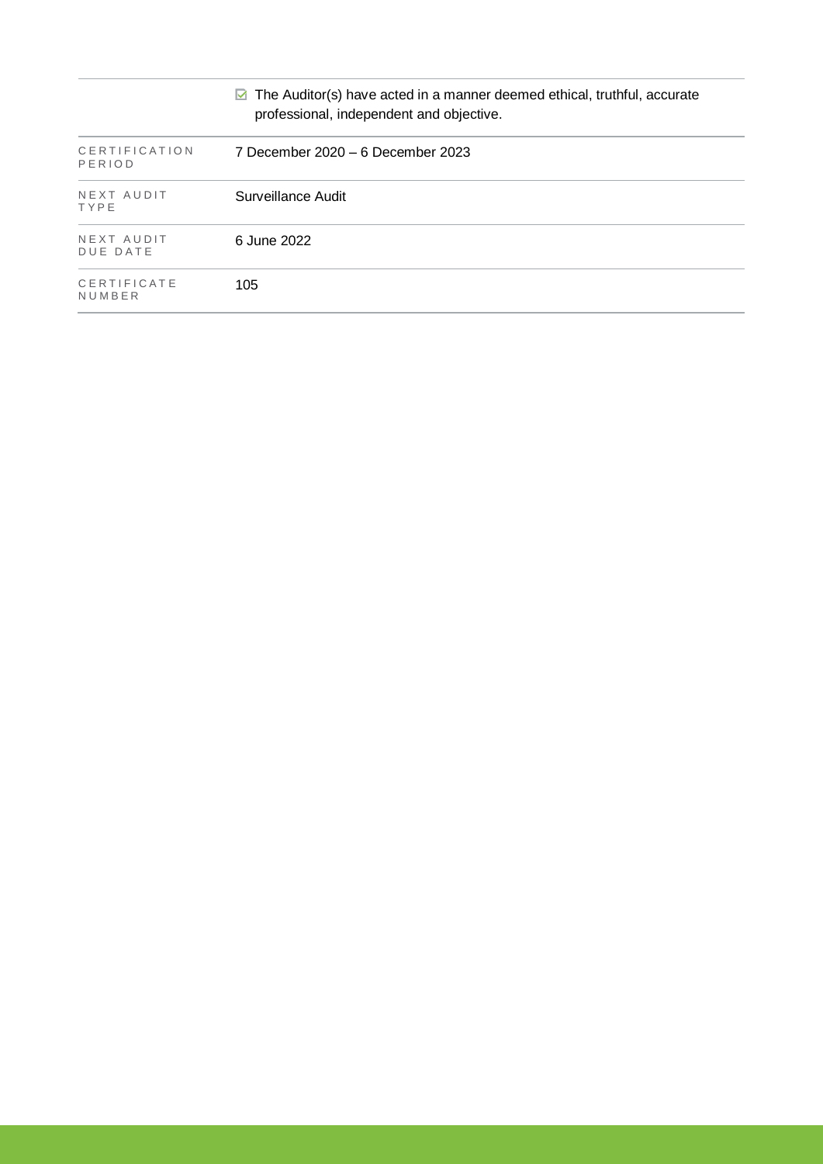|                                | $\triangleright$ The Auditor(s) have acted in a manner deemed ethical, truthful, accurate<br>professional, independent and objective. |
|--------------------------------|---------------------------------------------------------------------------------------------------------------------------------------|
| <b>CERTIFICATION</b><br>PERIOD | 7 December 2020 – 6 December 2023                                                                                                     |
| NEXT AUDIT<br>TYPE             | Surveillance Audit                                                                                                                    |
| NEXT AUDIT<br><b>DUE DATE</b>  | 6 June 2022                                                                                                                           |
| CERTIFICATE<br>NUMBER          | 105                                                                                                                                   |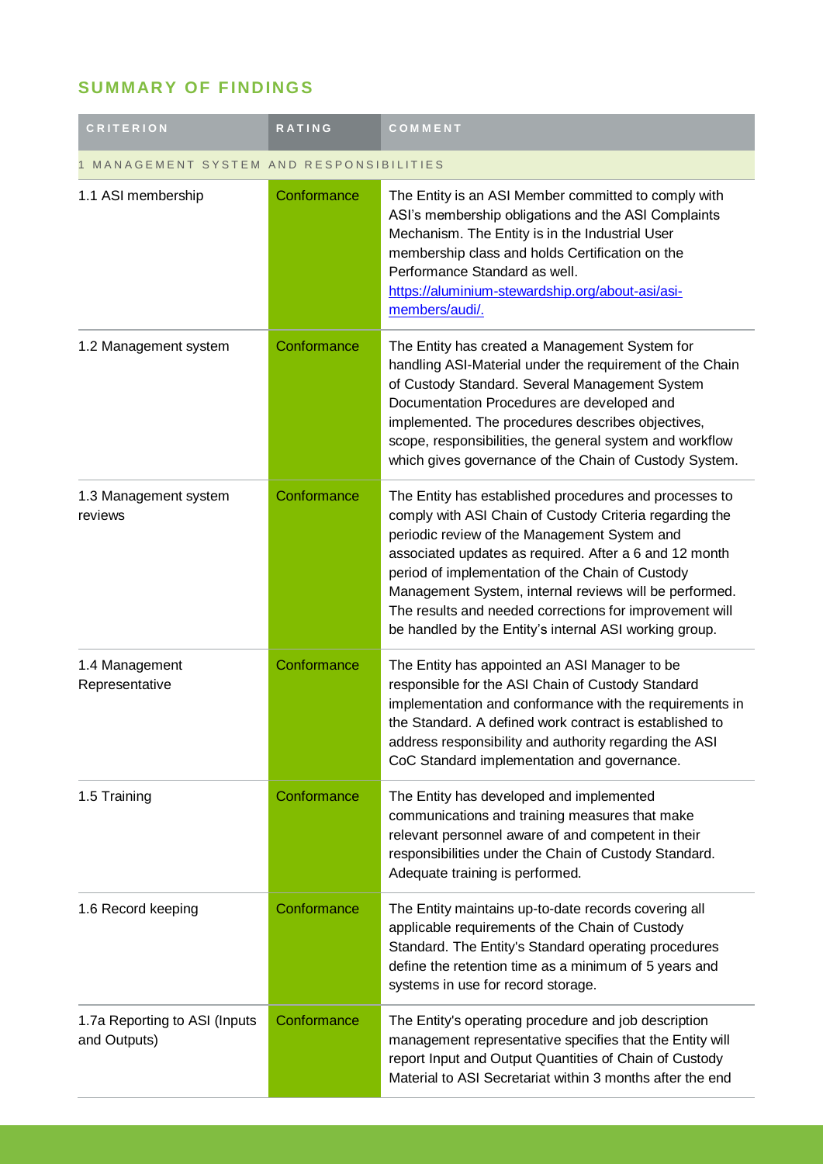### **SUMMARY OF FINDINGS**

| <b>CRITERION</b>                                      | <b>RATING</b> | COMMENT                                                                                                                                                                                                                                                                                                                                                                                                                                                        |  |
|-------------------------------------------------------|---------------|----------------------------------------------------------------------------------------------------------------------------------------------------------------------------------------------------------------------------------------------------------------------------------------------------------------------------------------------------------------------------------------------------------------------------------------------------------------|--|
| MANAGEMENT SYSTEM AND RESPONSIBILITIES<br>$\mathbf 1$ |               |                                                                                                                                                                                                                                                                                                                                                                                                                                                                |  |
| 1.1 ASI membership                                    | Conformance   | The Entity is an ASI Member committed to comply with<br>ASI's membership obligations and the ASI Complaints<br>Mechanism. The Entity is in the Industrial User<br>membership class and holds Certification on the<br>Performance Standard as well.<br>https://aluminium-stewardship.org/about-asi/asi-<br>members/audi/.                                                                                                                                       |  |
| 1.2 Management system                                 | Conformance   | The Entity has created a Management System for<br>handling ASI-Material under the requirement of the Chain<br>of Custody Standard. Several Management System<br>Documentation Procedures are developed and<br>implemented. The procedures describes objectives,<br>scope, responsibilities, the general system and workflow<br>which gives governance of the Chain of Custody System.                                                                          |  |
| 1.3 Management system<br>reviews                      | Conformance   | The Entity has established procedures and processes to<br>comply with ASI Chain of Custody Criteria regarding the<br>periodic review of the Management System and<br>associated updates as required. After a 6 and 12 month<br>period of implementation of the Chain of Custody<br>Management System, internal reviews will be performed.<br>The results and needed corrections for improvement will<br>be handled by the Entity's internal ASI working group. |  |
| 1.4 Management<br>Representative                      | Conformance   | The Entity has appointed an ASI Manager to be<br>responsible for the ASI Chain of Custody Standard<br>implementation and conformance with the requirements in<br>the Standard. A defined work contract is established to<br>address responsibility and authority regarding the ASI<br>CoC Standard implementation and governance.                                                                                                                              |  |
| 1.5 Training                                          | Conformance   | The Entity has developed and implemented<br>communications and training measures that make<br>relevant personnel aware of and competent in their<br>responsibilities under the Chain of Custody Standard.<br>Adequate training is performed.                                                                                                                                                                                                                   |  |
| 1.6 Record keeping                                    | Conformance   | The Entity maintains up-to-date records covering all<br>applicable requirements of the Chain of Custody<br>Standard. The Entity's Standard operating procedures<br>define the retention time as a minimum of 5 years and<br>systems in use for record storage.                                                                                                                                                                                                 |  |
| 1.7a Reporting to ASI (Inputs<br>and Outputs)         | Conformance   | The Entity's operating procedure and job description<br>management representative specifies that the Entity will<br>report Input and Output Quantities of Chain of Custody<br>Material to ASI Secretariat within 3 months after the end                                                                                                                                                                                                                        |  |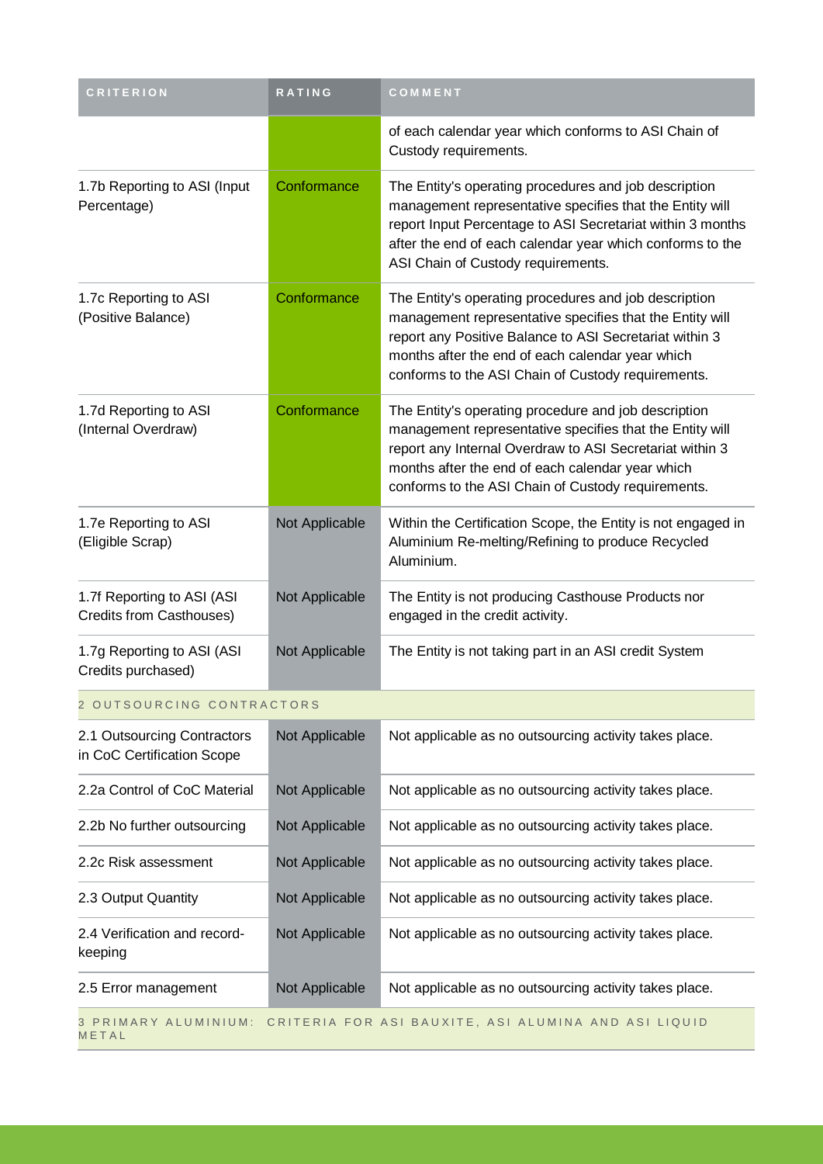| <b>CRITERION</b>                                                                      | <b>RATING</b>  | COMMENT                                                                                                                                                                                                                                                                                |  |
|---------------------------------------------------------------------------------------|----------------|----------------------------------------------------------------------------------------------------------------------------------------------------------------------------------------------------------------------------------------------------------------------------------------|--|
|                                                                                       |                | of each calendar year which conforms to ASI Chain of<br>Custody requirements.                                                                                                                                                                                                          |  |
| 1.7b Reporting to ASI (Input<br>Percentage)                                           | Conformance    | The Entity's operating procedures and job description<br>management representative specifies that the Entity will<br>report Input Percentage to ASI Secretariat within 3 months<br>after the end of each calendar year which conforms to the<br>ASI Chain of Custody requirements.     |  |
| 1.7c Reporting to ASI<br>(Positive Balance)                                           | Conformance    | The Entity's operating procedures and job description<br>management representative specifies that the Entity will<br>report any Positive Balance to ASI Secretariat within 3<br>months after the end of each calendar year which<br>conforms to the ASI Chain of Custody requirements. |  |
| 1.7d Reporting to ASI<br>(Internal Overdraw)                                          | Conformance    | The Entity's operating procedure and job description<br>management representative specifies that the Entity will<br>report any Internal Overdraw to ASI Secretariat within 3<br>months after the end of each calendar year which<br>conforms to the ASI Chain of Custody requirements. |  |
| 1.7e Reporting to ASI<br>(Eligible Scrap)                                             | Not Applicable | Within the Certification Scope, the Entity is not engaged in<br>Aluminium Re-melting/Refining to produce Recycled<br>Aluminium.                                                                                                                                                        |  |
| 1.7f Reporting to ASI (ASI<br>Credits from Casthouses)                                | Not Applicable | The Entity is not producing Casthouse Products nor<br>engaged in the credit activity.                                                                                                                                                                                                  |  |
| 1.7g Reporting to ASI (ASI<br>Credits purchased)                                      | Not Applicable | The Entity is not taking part in an ASI credit System                                                                                                                                                                                                                                  |  |
| 2 OUTSOURCING CONTRACTORS                                                             |                |                                                                                                                                                                                                                                                                                        |  |
| 2.1 Outsourcing Contractors<br>in CoC Certification Scope                             | Not Applicable | Not applicable as no outsourcing activity takes place.                                                                                                                                                                                                                                 |  |
| 2.2a Control of CoC Material                                                          | Not Applicable | Not applicable as no outsourcing activity takes place.                                                                                                                                                                                                                                 |  |
| 2.2b No further outsourcing                                                           | Not Applicable | Not applicable as no outsourcing activity takes place.                                                                                                                                                                                                                                 |  |
| 2.2c Risk assessment                                                                  | Not Applicable | Not applicable as no outsourcing activity takes place.                                                                                                                                                                                                                                 |  |
| 2.3 Output Quantity                                                                   | Not Applicable | Not applicable as no outsourcing activity takes place.                                                                                                                                                                                                                                 |  |
| 2.4 Verification and record-<br>keeping                                               | Not Applicable | Not applicable as no outsourcing activity takes place.                                                                                                                                                                                                                                 |  |
| 2.5 Error management                                                                  | Not Applicable | Not applicable as no outsourcing activity takes place.                                                                                                                                                                                                                                 |  |
| CRITERIA FOR ASI BAUXITE, ASI ALUMINA AND ASI LIQUID<br>3 PRIMARY ALUMINIUM:<br>METAL |                |                                                                                                                                                                                                                                                                                        |  |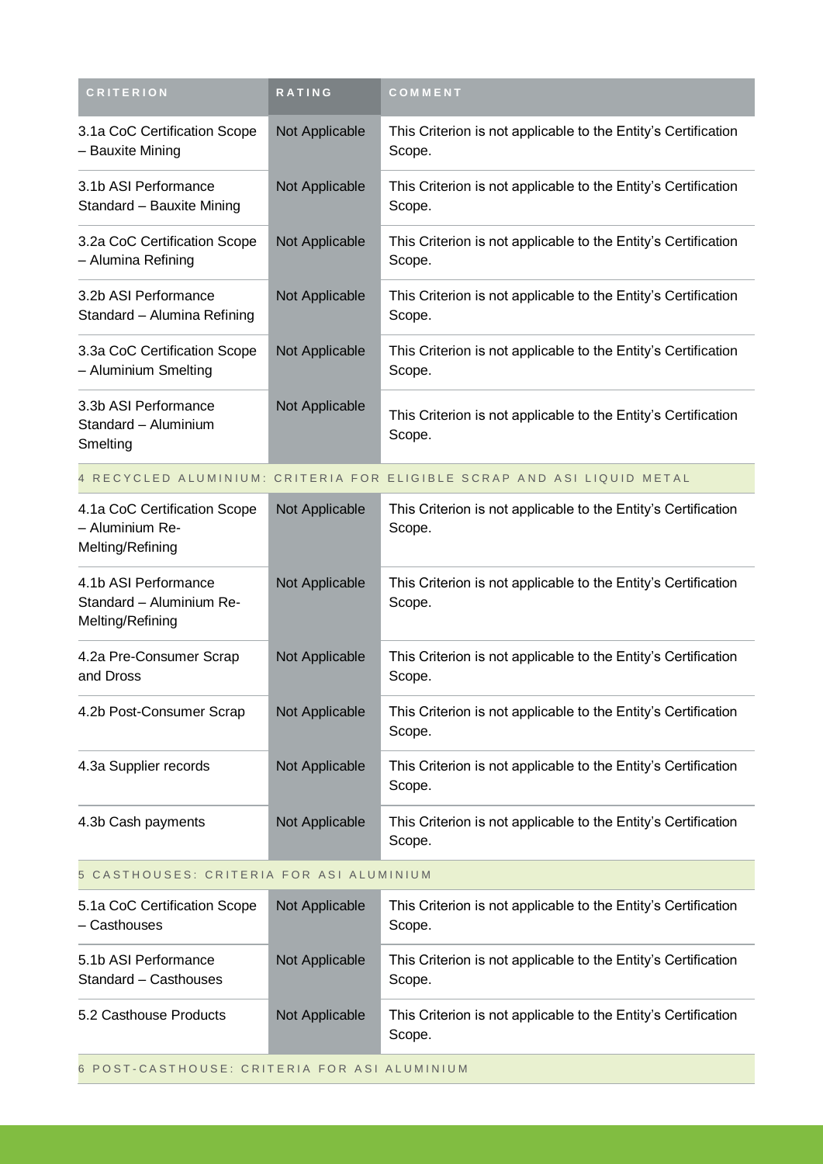| <b>CRITERION</b>                                                     | <b>RATING</b>  | COMMENT                                                                  |  |
|----------------------------------------------------------------------|----------------|--------------------------------------------------------------------------|--|
| 3.1a CoC Certification Scope<br>- Bauxite Mining                     | Not Applicable | This Criterion is not applicable to the Entity's Certification<br>Scope. |  |
| 3.1b ASI Performance<br>Standard - Bauxite Mining                    | Not Applicable | This Criterion is not applicable to the Entity's Certification<br>Scope. |  |
| 3.2a CoC Certification Scope<br>- Alumina Refining                   | Not Applicable | This Criterion is not applicable to the Entity's Certification<br>Scope. |  |
| 3.2b ASI Performance<br>Standard - Alumina Refining                  | Not Applicable | This Criterion is not applicable to the Entity's Certification<br>Scope. |  |
| 3.3a CoC Certification Scope<br>- Aluminium Smelting                 | Not Applicable | This Criterion is not applicable to the Entity's Certification<br>Scope. |  |
| 3.3b ASI Performance<br>Standard - Aluminium<br>Smelting             | Not Applicable | This Criterion is not applicable to the Entity's Certification<br>Scope. |  |
|                                                                      |                | 4 RECYCLED ALUMINIUM: CRITERIA FOR ELIGIBLE SCRAP AND ASI LIQUID METAL   |  |
| 4.1a CoC Certification Scope<br>- Aluminium Re-<br>Melting/Refining  | Not Applicable | This Criterion is not applicable to the Entity's Certification<br>Scope. |  |
| 4.1b ASI Performance<br>Standard - Aluminium Re-<br>Melting/Refining | Not Applicable | This Criterion is not applicable to the Entity's Certification<br>Scope. |  |
| 4.2a Pre-Consumer Scrap<br>and Dross                                 | Not Applicable | This Criterion is not applicable to the Entity's Certification<br>Scope. |  |
| 4.2b Post-Consumer Scrap                                             | Not Applicable | This Criterion is not applicable to the Entity's Certification<br>Scope. |  |
| 4.3a Supplier records                                                | Not Applicable | This Criterion is not applicable to the Entity's Certification<br>Scope. |  |
| 4.3b Cash payments                                                   | Not Applicable | This Criterion is not applicable to the Entity's Certification<br>Scope. |  |
| 5 CASTHOUSES: CRITERIA FOR ASI ALUMINIUM                             |                |                                                                          |  |
| 5.1a CoC Certification Scope<br>- Casthouses                         | Not Applicable | This Criterion is not applicable to the Entity's Certification<br>Scope. |  |
| 5.1b ASI Performance<br>Standard - Casthouses                        | Not Applicable | This Criterion is not applicable to the Entity's Certification<br>Scope. |  |
| 5.2 Casthouse Products                                               | Not Applicable | This Criterion is not applicable to the Entity's Certification<br>Scope. |  |
|                                                                      |                |                                                                          |  |

6 POST-CASTHOUSE: CRITERIA FOR ASI ALUMINIUM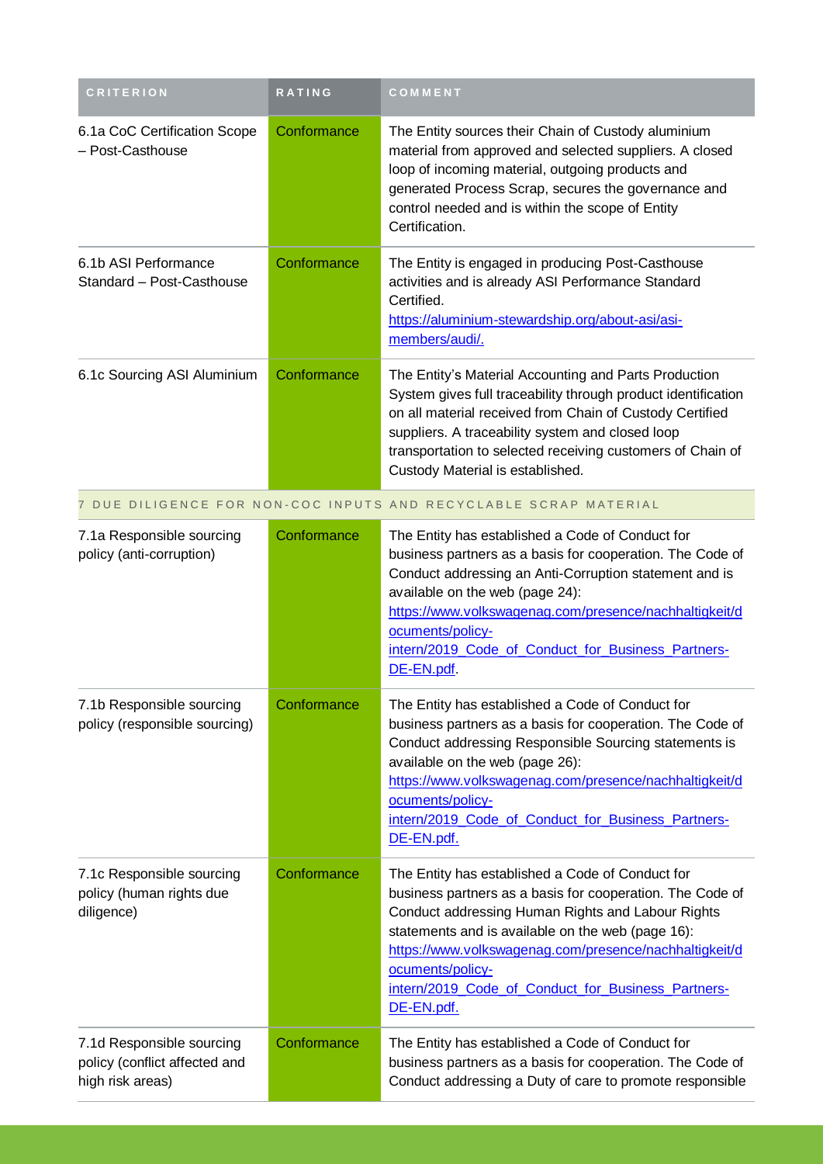| <b>CRITERION</b>                                                               | <b>RATING</b> | COMMENT                                                                                                                                                                                                                                                                                                                                                                   |
|--------------------------------------------------------------------------------|---------------|---------------------------------------------------------------------------------------------------------------------------------------------------------------------------------------------------------------------------------------------------------------------------------------------------------------------------------------------------------------------------|
| 6.1a CoC Certification Scope<br>- Post-Casthouse                               | Conformance   | The Entity sources their Chain of Custody aluminium<br>material from approved and selected suppliers. A closed<br>loop of incoming material, outgoing products and<br>generated Process Scrap, secures the governance and<br>control needed and is within the scope of Entity<br>Certification.                                                                           |
| 6.1b ASI Performance<br>Standard - Post-Casthouse                              | Conformance   | The Entity is engaged in producing Post-Casthouse<br>activities and is already ASI Performance Standard<br>Certified.<br>https://aluminium-stewardship.org/about-asi/asi-<br>members/audi/.                                                                                                                                                                               |
| 6.1c Sourcing ASI Aluminium                                                    | Conformance   | The Entity's Material Accounting and Parts Production<br>System gives full traceability through product identification<br>on all material received from Chain of Custody Certified<br>suppliers. A traceability system and closed loop<br>transportation to selected receiving customers of Chain of<br>Custody Material is established.                                  |
|                                                                                |               | 7 DUE DILIGENCE FOR NON-COC INPUTS AND RECYCLABLE SCRAP MATERIAL                                                                                                                                                                                                                                                                                                          |
| 7.1a Responsible sourcing<br>policy (anti-corruption)                          | Conformance   | The Entity has established a Code of Conduct for<br>business partners as a basis for cooperation. The Code of<br>Conduct addressing an Anti-Corruption statement and is<br>available on the web (page 24):<br>https://www.volkswagenag.com/presence/nachhaltigkeit/d<br>ocuments/policy-<br>intern/2019 Code of Conduct for Business Partners-<br>DE-EN.pdf.              |
| 7.1b Responsible sourcing<br>policy (responsible sourcing)                     | Conformance   | The Entity has established a Code of Conduct for<br>business partners as a basis for cooperation. The Code of<br>Conduct addressing Responsible Sourcing statements is<br>available on the web (page 26):<br>https://www.volkswagenag.com/presence/nachhaltigkeit/d<br>ocuments/policy-<br>intern/2019 Code of Conduct for Business Partners-<br>DE-EN.pdf.               |
| 7.1c Responsible sourcing<br>policy (human rights due<br>diligence)            | Conformance   | The Entity has established a Code of Conduct for<br>business partners as a basis for cooperation. The Code of<br>Conduct addressing Human Rights and Labour Rights<br>statements and is available on the web (page 16):<br>https://www.volkswagenag.com/presence/nachhaltigkeit/d<br>ocuments/policy-<br>intern/2019 Code of Conduct for Business Partners-<br>DE-EN.pdf. |
| 7.1d Responsible sourcing<br>policy (conflict affected and<br>high risk areas) | Conformance   | The Entity has established a Code of Conduct for<br>business partners as a basis for cooperation. The Code of<br>Conduct addressing a Duty of care to promote responsible                                                                                                                                                                                                 |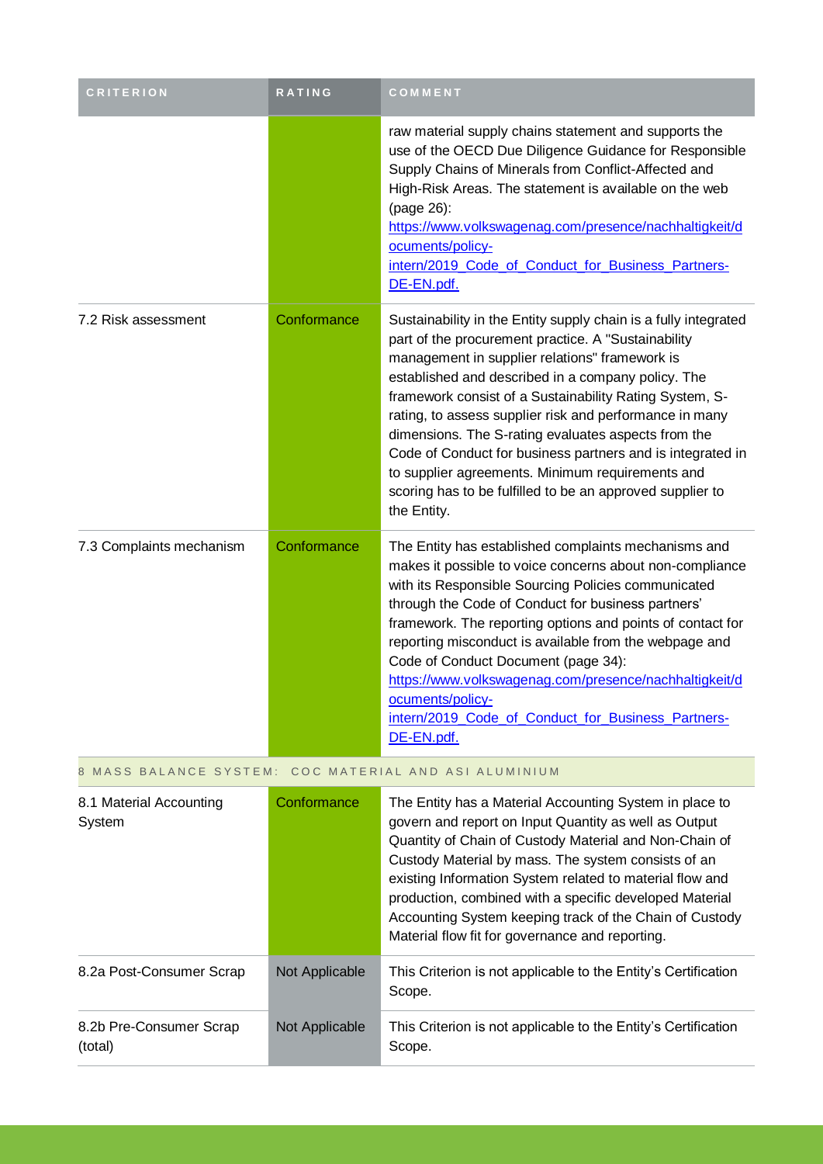| <b>CRITERION</b>                                         | <b>RATING</b> | COMMENT                                                                                                                                                                                                                                                                                                                                                                                                                                                                                                                                                                                                   |  |
|----------------------------------------------------------|---------------|-----------------------------------------------------------------------------------------------------------------------------------------------------------------------------------------------------------------------------------------------------------------------------------------------------------------------------------------------------------------------------------------------------------------------------------------------------------------------------------------------------------------------------------------------------------------------------------------------------------|--|
|                                                          |               | raw material supply chains statement and supports the<br>use of the OECD Due Diligence Guidance for Responsible<br>Supply Chains of Minerals from Conflict-Affected and<br>High-Risk Areas. The statement is available on the web<br>(page 26):<br>https://www.volkswagenag.com/presence/nachhaltigkeit/d<br>ocuments/policy-<br>intern/2019_Code_of_Conduct_for_Business_Partners-<br>DE-EN.pdf.                                                                                                                                                                                                         |  |
| 7.2 Risk assessment                                      | Conformance   | Sustainability in the Entity supply chain is a fully integrated<br>part of the procurement practice. A "Sustainability<br>management in supplier relations" framework is<br>established and described in a company policy. The<br>framework consist of a Sustainability Rating System, S-<br>rating, to assess supplier risk and performance in many<br>dimensions. The S-rating evaluates aspects from the<br>Code of Conduct for business partners and is integrated in<br>to supplier agreements. Minimum requirements and<br>scoring has to be fulfilled to be an approved supplier to<br>the Entity. |  |
| 7.3 Complaints mechanism                                 | Conformance   | The Entity has established complaints mechanisms and<br>makes it possible to voice concerns about non-compliance<br>with its Responsible Sourcing Policies communicated<br>through the Code of Conduct for business partners'<br>framework. The reporting options and points of contact for<br>reporting misconduct is available from the webpage and<br>Code of Conduct Document (page 34):<br>https://www.volkswagenag.com/presence/nachhaltigkeit/d<br>ocuments/policy-<br>intern/2019 Code of Conduct for Business Partners-<br>DE-EN.pdf.                                                            |  |
| COC MATERIAL AND ASI ALUMINIUM<br>8 MASS BALANCE SYSTEM: |               |                                                                                                                                                                                                                                                                                                                                                                                                                                                                                                                                                                                                           |  |
| 8.1 Material Accounting<br>System                        | Conformance   | The Entity has a Material Accounting System in place to<br>govern and report on Input Quantity as well as Output<br>Quantity of Chain of Custody Material and Non-Chain of<br>Custody Material by mass. The system consists of an                                                                                                                                                                                                                                                                                                                                                                         |  |

|                          |                | existing Information System related to material flow and<br>production, combined with a specific developed Material<br>Accounting System keeping track of the Chain of Custody<br>Material flow fit for governance and reporting. |
|--------------------------|----------------|-----------------------------------------------------------------------------------------------------------------------------------------------------------------------------------------------------------------------------------|
| 8.2a Post-Consumer Scrap | Not Applicable | This Criterion is not applicable to the Entity's Certification<br>Scope.                                                                                                                                                          |
|                          |                |                                                                                                                                                                                                                                   |

(total)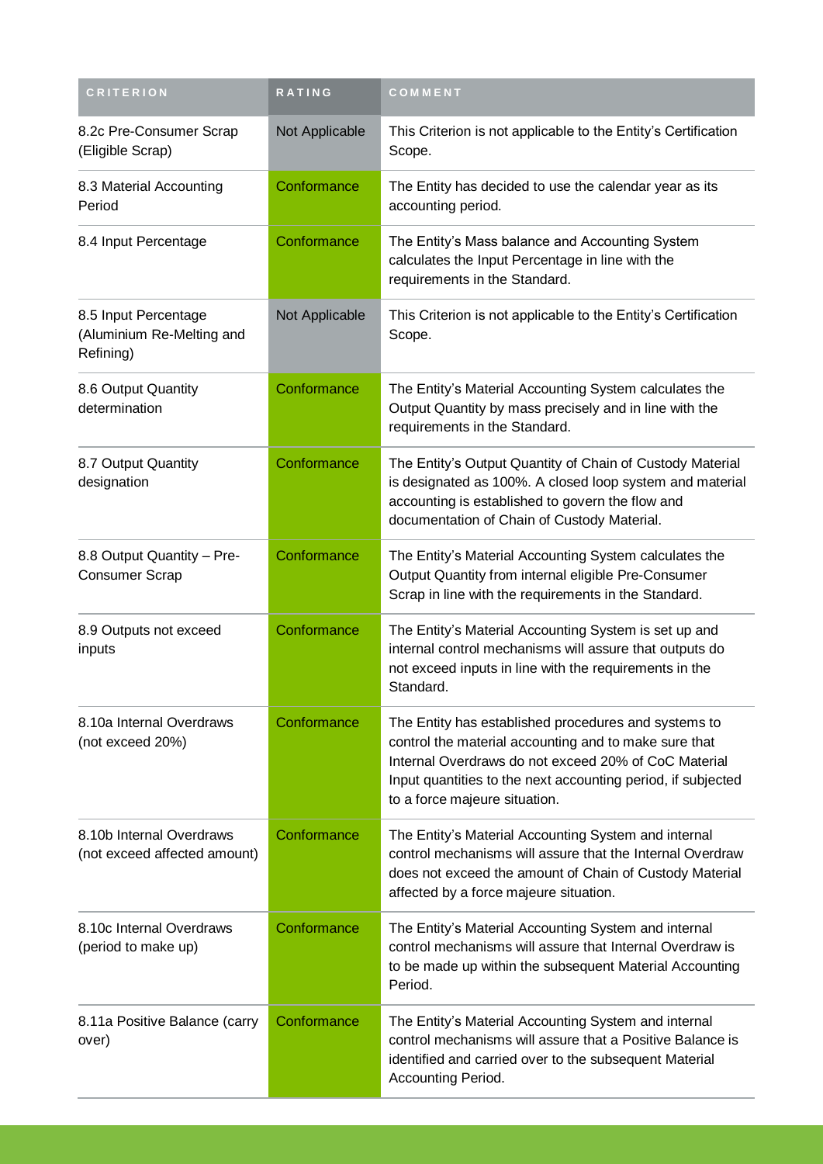| <b>CRITERION</b>                                               | <b>RATING</b>  | COMMENT                                                                                                                                                                                                                                                                |
|----------------------------------------------------------------|----------------|------------------------------------------------------------------------------------------------------------------------------------------------------------------------------------------------------------------------------------------------------------------------|
| 8.2c Pre-Consumer Scrap<br>(Eligible Scrap)                    | Not Applicable | This Criterion is not applicable to the Entity's Certification<br>Scope.                                                                                                                                                                                               |
| 8.3 Material Accounting<br>Period                              | Conformance    | The Entity has decided to use the calendar year as its<br>accounting period.                                                                                                                                                                                           |
| 8.4 Input Percentage                                           | Conformance    | The Entity's Mass balance and Accounting System<br>calculates the Input Percentage in line with the<br>requirements in the Standard.                                                                                                                                   |
| 8.5 Input Percentage<br>(Aluminium Re-Melting and<br>Refining) | Not Applicable | This Criterion is not applicable to the Entity's Certification<br>Scope.                                                                                                                                                                                               |
| 8.6 Output Quantity<br>determination                           | Conformance    | The Entity's Material Accounting System calculates the<br>Output Quantity by mass precisely and in line with the<br>requirements in the Standard.                                                                                                                      |
| 8.7 Output Quantity<br>designation                             | Conformance    | The Entity's Output Quantity of Chain of Custody Material<br>is designated as 100%. A closed loop system and material<br>accounting is established to govern the flow and<br>documentation of Chain of Custody Material.                                               |
| 8.8 Output Quantity - Pre-<br><b>Consumer Scrap</b>            | Conformance    | The Entity's Material Accounting System calculates the<br>Output Quantity from internal eligible Pre-Consumer<br>Scrap in line with the requirements in the Standard.                                                                                                  |
| 8.9 Outputs not exceed<br>inputs                               | Conformance    | The Entity's Material Accounting System is set up and<br>internal control mechanisms will assure that outputs do<br>not exceed inputs in line with the requirements in the<br>Standard.                                                                                |
| 8.10a Internal Overdraws<br>(not exceed 20%)                   | Conformance    | The Entity has established procedures and systems to<br>control the material accounting and to make sure that<br>Internal Overdraws do not exceed 20% of CoC Material<br>Input quantities to the next accounting period, if subjected<br>to a force majeure situation. |
| 8.10b Internal Overdraws<br>(not exceed affected amount)       | Conformance    | The Entity's Material Accounting System and internal<br>control mechanisms will assure that the Internal Overdraw<br>does not exceed the amount of Chain of Custody Material<br>affected by a force majeure situation.                                                 |
| 8.10c Internal Overdraws<br>(period to make up)                | Conformance    | The Entity's Material Accounting System and internal<br>control mechanisms will assure that Internal Overdraw is<br>to be made up within the subsequent Material Accounting<br>Period.                                                                                 |
| 8.11a Positive Balance (carry<br>over)                         | Conformance    | The Entity's Material Accounting System and internal<br>control mechanisms will assure that a Positive Balance is<br>identified and carried over to the subsequent Material<br>Accounting Period.                                                                      |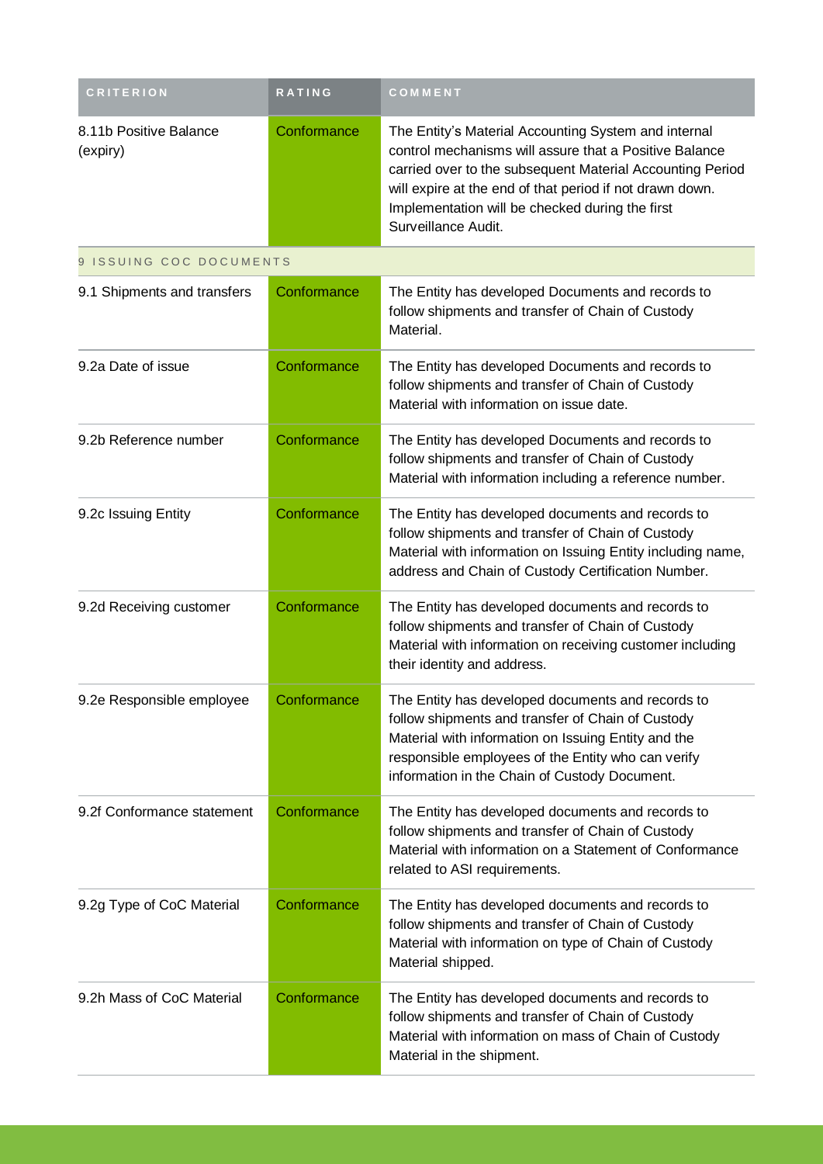| <b>CRITERION</b>                   | <b>RATING</b> | COMMENT                                                                                                                                                                                                                                                                                                           |
|------------------------------------|---------------|-------------------------------------------------------------------------------------------------------------------------------------------------------------------------------------------------------------------------------------------------------------------------------------------------------------------|
| 8.11b Positive Balance<br>(expiry) | Conformance   | The Entity's Material Accounting System and internal<br>control mechanisms will assure that a Positive Balance<br>carried over to the subsequent Material Accounting Period<br>will expire at the end of that period if not drawn down.<br>Implementation will be checked during the first<br>Surveillance Audit. |
| 9 ISSUING COC DOCUMENTS            |               |                                                                                                                                                                                                                                                                                                                   |
| 9.1 Shipments and transfers        | Conformance   | The Entity has developed Documents and records to<br>follow shipments and transfer of Chain of Custody<br>Material.                                                                                                                                                                                               |
| 9.2a Date of issue                 | Conformance   | The Entity has developed Documents and records to<br>follow shipments and transfer of Chain of Custody<br>Material with information on issue date.                                                                                                                                                                |
| 9.2b Reference number              | Conformance   | The Entity has developed Documents and records to<br>follow shipments and transfer of Chain of Custody<br>Material with information including a reference number.                                                                                                                                                 |
| 9.2c Issuing Entity                | Conformance   | The Entity has developed documents and records to<br>follow shipments and transfer of Chain of Custody<br>Material with information on Issuing Entity including name,<br>address and Chain of Custody Certification Number.                                                                                       |
| 9.2d Receiving customer            | Conformance   | The Entity has developed documents and records to<br>follow shipments and transfer of Chain of Custody<br>Material with information on receiving customer including<br>their identity and address.                                                                                                                |
| 9.2e Responsible employee          | Conformance   | The Entity has developed documents and records to<br>follow shipments and transfer of Chain of Custody<br>Material with information on Issuing Entity and the<br>responsible employees of the Entity who can verify<br>information in the Chain of Custody Document.                                              |
| 9.2f Conformance statement         | Conformance   | The Entity has developed documents and records to<br>follow shipments and transfer of Chain of Custody<br>Material with information on a Statement of Conformance<br>related to ASI requirements.                                                                                                                 |
| 9.2g Type of CoC Material          | Conformance   | The Entity has developed documents and records to<br>follow shipments and transfer of Chain of Custody<br>Material with information on type of Chain of Custody<br>Material shipped.                                                                                                                              |
| 9.2h Mass of CoC Material          | Conformance   | The Entity has developed documents and records to<br>follow shipments and transfer of Chain of Custody<br>Material with information on mass of Chain of Custody<br>Material in the shipment.                                                                                                                      |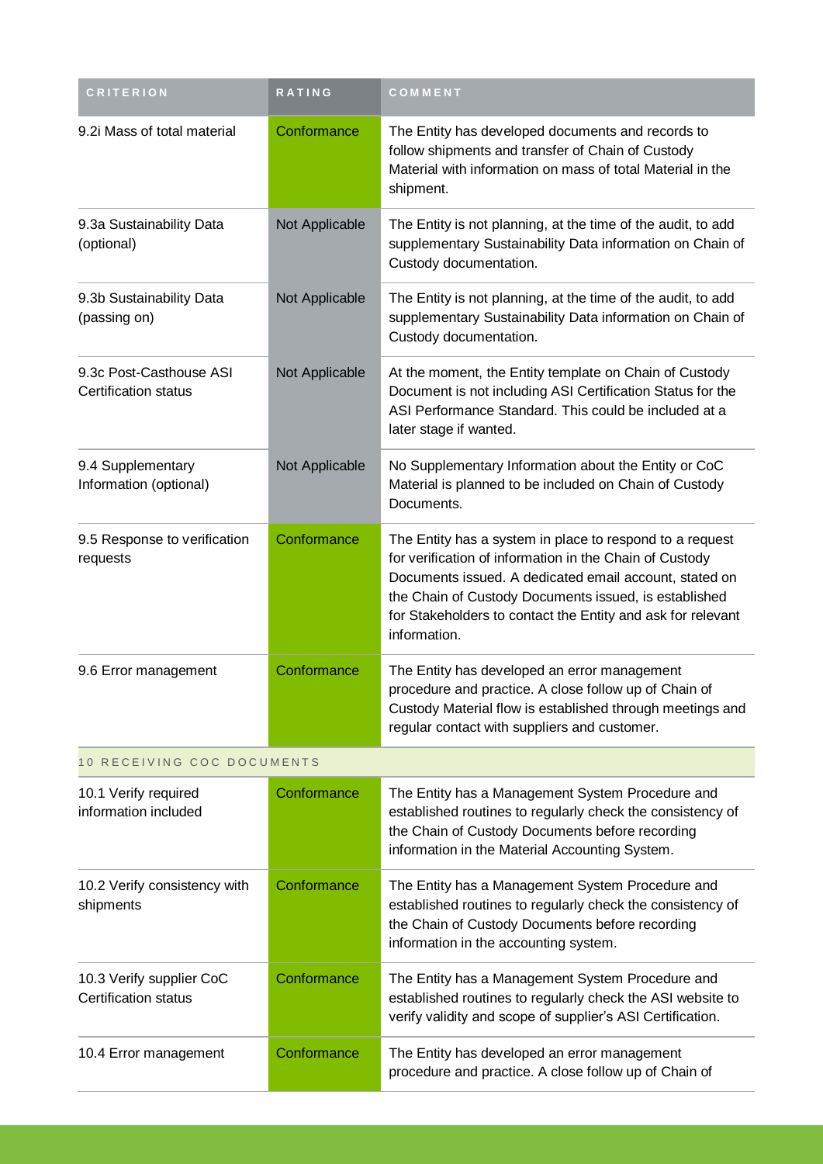| <b>CRITERION</b>                                        | RATING         | COMMENT                                                                                                                                                                                                                                                                                                               |
|---------------------------------------------------------|----------------|-----------------------------------------------------------------------------------------------------------------------------------------------------------------------------------------------------------------------------------------------------------------------------------------------------------------------|
| 9.2i Mass of total material                             | Conformance    | The Entity has developed documents and records to<br>follow shipments and transfer of Chain of Custody<br>Material with information on mass of total Material in the<br>shipment.                                                                                                                                     |
| 9.3a Sustainability Data<br>(optional)                  | Not Applicable | The Entity is not planning, at the time of the audit, to add<br>supplementary Sustainability Data information on Chain of<br>Custody documentation.                                                                                                                                                                   |
| 9.3b Sustainability Data<br>(passing on)                | Not Applicable | The Entity is not planning, at the time of the audit, to add<br>supplementary Sustainability Data information on Chain of<br>Custody documentation.                                                                                                                                                                   |
| 9.3c Post-Casthouse ASI<br><b>Certification status</b>  | Not Applicable | At the moment, the Entity template on Chain of Custody<br>Document is not including ASI Certification Status for the<br>ASI Performance Standard. This could be included at a<br>later stage if wanted.                                                                                                               |
| 9.4 Supplementary<br>Information (optional)             | Not Applicable | No Supplementary Information about the Entity or CoC<br>Material is planned to be included on Chain of Custody<br>Documents.                                                                                                                                                                                          |
| 9.5 Response to verification<br>requests                | Conformance    | The Entity has a system in place to respond to a request<br>for verification of information in the Chain of Custody<br>Documents issued. A dedicated email account, stated on<br>the Chain of Custody Documents issued, is established<br>for Stakeholders to contact the Entity and ask for relevant<br>information. |
| 9.6 Error management                                    | Conformance    | The Entity has developed an error management<br>procedure and practice. A close follow up of Chain of<br>Custody Material flow is established through meetings and<br>regular contact with suppliers and customer.                                                                                                    |
| 10 RECEIVING COC DOCUMENTS                              |                |                                                                                                                                                                                                                                                                                                                       |
| 10.1 Verify required<br>information included            | Conformance    | The Entity has a Management System Procedure and<br>established routines to regularly check the consistency of<br>the Chain of Custody Documents before recording<br>information in the Material Accounting System.                                                                                                   |
| 10.2 Verify consistency with<br>shipments               | Conformance    | The Entity has a Management System Procedure and<br>established routines to regularly check the consistency of<br>the Chain of Custody Documents before recording<br>information in the accounting system.                                                                                                            |
| 10.3 Verify supplier CoC<br><b>Certification status</b> | Conformance    | The Entity has a Management System Procedure and<br>established routines to regularly check the ASI website to<br>verify validity and scope of supplier's ASI Certification.                                                                                                                                          |
| 10.4 Error management                                   | Conformance    | The Entity has developed an error management<br>procedure and practice. A close follow up of Chain of                                                                                                                                                                                                                 |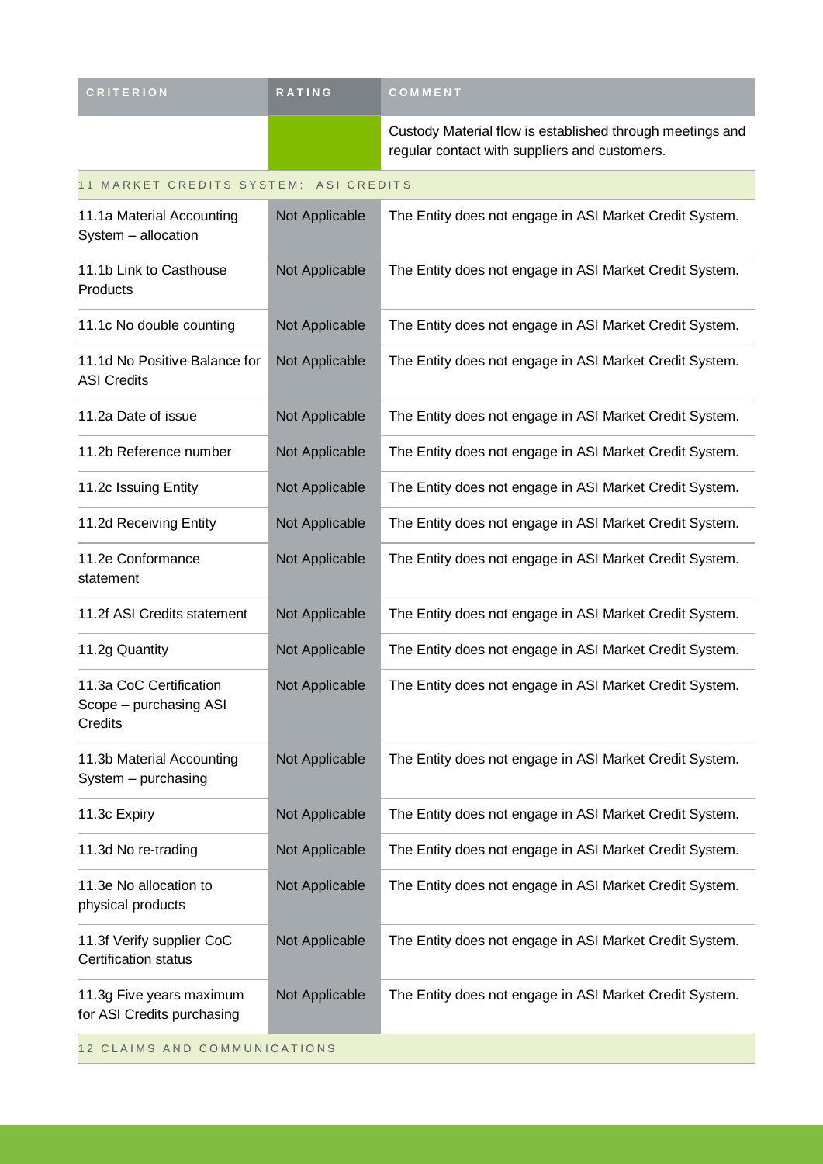| <b>CRITERION</b>                                             | RATING         | COMMENT                                                                                                    |
|--------------------------------------------------------------|----------------|------------------------------------------------------------------------------------------------------------|
|                                                              |                | Custody Material flow is established through meetings and<br>regular contact with suppliers and customers. |
| 11 MARKET CREDITS SYSTEM: ASI CREDITS                        |                |                                                                                                            |
| 11.1a Material Accounting<br>System - allocation             | Not Applicable | The Entity does not engage in ASI Market Credit System.                                                    |
| 11.1b Link to Casthouse<br>Products                          | Not Applicable | The Entity does not engage in ASI Market Credit System.                                                    |
| 11.1c No double counting                                     | Not Applicable | The Entity does not engage in ASI Market Credit System.                                                    |
| 11.1d No Positive Balance for<br><b>ASI Credits</b>          | Not Applicable | The Entity does not engage in ASI Market Credit System.                                                    |
| 11.2a Date of issue                                          | Not Applicable | The Entity does not engage in ASI Market Credit System.                                                    |
| 11.2b Reference number                                       | Not Applicable | The Entity does not engage in ASI Market Credit System.                                                    |
| 11.2c Issuing Entity                                         | Not Applicable | The Entity does not engage in ASI Market Credit System.                                                    |
| 11.2d Receiving Entity                                       | Not Applicable | The Entity does not engage in ASI Market Credit System.                                                    |
| 11.2e Conformance<br>statement                               | Not Applicable | The Entity does not engage in ASI Market Credit System.                                                    |
| 11.2f ASI Credits statement                                  | Not Applicable | The Entity does not engage in ASI Market Credit System.                                                    |
| 11.2g Quantity                                               | Not Applicable | The Entity does not engage in ASI Market Credit System.                                                    |
| 11.3a CoC Certification<br>Scope - purchasing ASI<br>Credits | Not Applicable | The Entity does not engage in ASI Market Credit System.                                                    |
| 11.3b Material Accounting<br>System - purchasing             | Not Applicable | The Entity does not engage in ASI Market Credit System.                                                    |
| 11.3c Expiry                                                 | Not Applicable | The Entity does not engage in ASI Market Credit System.                                                    |
| 11.3d No re-trading                                          | Not Applicable | The Entity does not engage in ASI Market Credit System.                                                    |
| 11.3e No allocation to<br>physical products                  | Not Applicable | The Entity does not engage in ASI Market Credit System.                                                    |
| 11.3f Verify supplier CoC<br><b>Certification status</b>     | Not Applicable | The Entity does not engage in ASI Market Credit System.                                                    |
| 11.3g Five years maximum<br>for ASI Credits purchasing       | Not Applicable | The Entity does not engage in ASI Market Credit System.                                                    |
| 12 CLAIMS AND COMMUNICATIONS                                 |                |                                                                                                            |